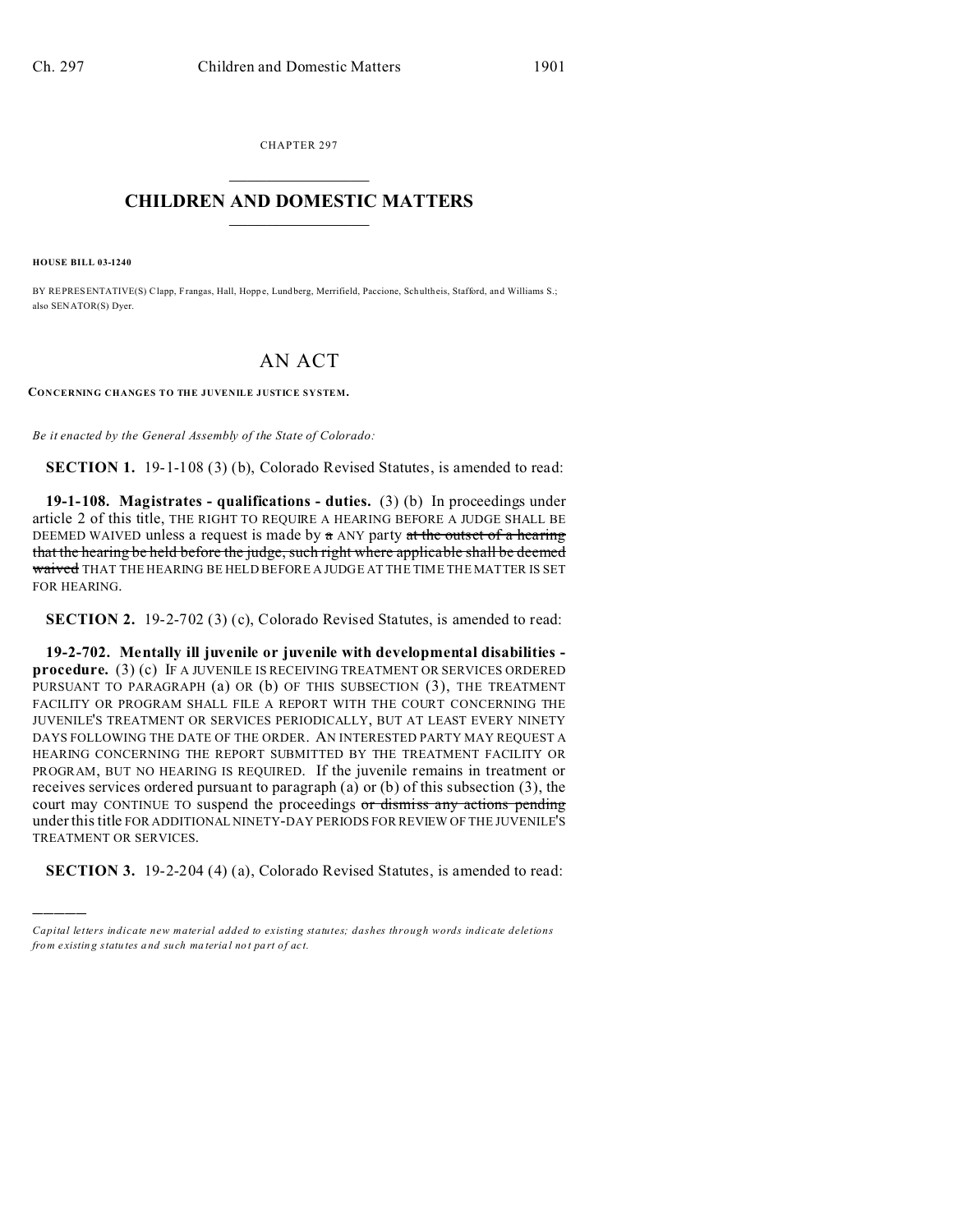CHAPTER 297  $\overline{\phantom{a}}$  , where  $\overline{\phantom{a}}$ 

## **CHILDREN AND DOMESTIC MATTERS**  $\_$   $\_$

**HOUSE BILL 03-1240**

)))))

BY REPRESENTATIVE(S) Clapp, Frangas, Hall, Hoppe, Lund berg, Merrifield, Paccione, Schultheis, Stafford, and Williams S.; also SENATOR(S) Dyer.

## AN ACT

**CONCERNING CHANGES TO THE JUVENILE JUSTICE SYSTEM.**

*Be it enacted by the General Assembly of the State of Colorado:*

**SECTION 1.** 19-1-108 (3) (b), Colorado Revised Statutes, is amended to read:

**19-1-108. Magistrates - qualifications - duties.** (3) (b) In proceedings under article 2 of this title, THE RIGHT TO REQUIRE A HEARING BEFORE A JUDGE SHALL BE DEEMED WAIVED unless a request is made by  $\alpha$  ANY party at the outset of a hearing that the hearing be held before the judge, such right where applicable shall be deemed waived THAT THE HEARING BE HELD BEFORE A JUDGE AT THE TIME THE MATTER IS SET FOR HEARING.

**SECTION 2.** 19-2-702 (3) (c), Colorado Revised Statutes, is amended to read:

**19-2-702. Mentally ill juvenile or juvenile with developmental disabilities procedure.** (3) (c) IF A JUVENILE IS RECEIVING TREATMENT OR SERVICES ORDERED PURSUANT TO PARAGRAPH (a) OR (b) OF THIS SUBSECTION (3), THE TREATMENT FACILITY OR PROGRAM SHALL FILE A REPORT WITH THE COURT CONCERNING THE JUVENILE'S TREATMENT OR SERVICES PERIODICALLY, BUT AT LEAST EVERY NINETY DAYS FOLLOWING THE DATE OF THE ORDER. AN INTERESTED PARTY MAY REQUEST A HEARING CONCERNING THE REPORT SUBMITTED BY THE TREATMENT FACILITY OR PROGRAM, BUT NO HEARING IS REQUIRED. If the juvenile remains in treatment or receives services ordered pursuant to paragraph (a) or (b) of this subsection (3), the court may CONTINUE TO suspend the proceedings or dismiss any actions pending under this title FOR ADDITIONAL NINETY-DAY PERIODS FOR REVIEW OF THE JUVENILE'S TREATMENT OR SERVICES.

**SECTION 3.** 19-2-204 (4) (a), Colorado Revised Statutes, is amended to read:

*Capital letters indicate new material added to existing statutes; dashes through words indicate deletions from e xistin g statu tes a nd such ma teria l no t pa rt of ac t.*